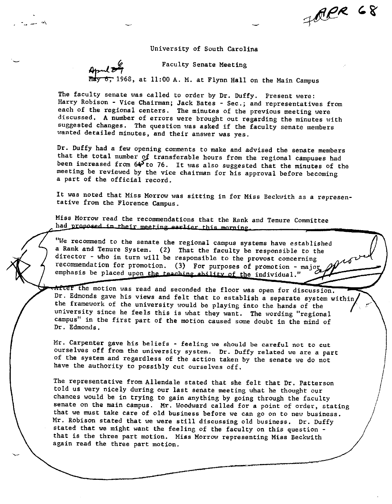FRER 68

University of South Carolina

Faculty Senate Meeting

1968, at 11:00 A. M. at Flynn Hall on the Main Campus

April  $z\tau$ 

The faculty senate was called to order by Dr. Duffy. Present were: Harry Robison - Vice Chairman; Jack Bates - Sec.; and representatives from each of the regional centers. The minutes of the previous meeting were discussed. A number of errors were brought out regarding the minutes with suggested changes. The question was asked if the faculty senate members wanted detailed minutes, and their answer was yes.

Dr. Duffy had a few opening comments to make and advised the senate members that the total number *gj* transferable hours from the regional campuses had been increased from  $64$  to 76. It was also suggested that the minutes of the meeting be reviewed by the vice chairman for his approval before becoming a part of the official record.

It was noted that Miss Morrow was sitting in for Miss Beckwith as a representative from the Florence Campus.

Miss Morrow read the recommendations that the Rank and Tenure Committee had proposed in their meeting earlier this morning.

We recommend to the senate the regional campus systems have established a Rank and Tenure System. (2) That the faculty be responsible to the director - who in turn will be responsible to the provost concerning recommendation for promotion. (3) For purposes of promotion - major emphasis be placed upon the teaching ability of the individual."

After the motion was read and seconded the floor was open for discussion. Dr. Edmonds gave his views and felt that to establish a separate system within the framework of the university would be playing into the hands of the university since he feels this is what they want. The wording "regional campus" in the first part of the motion caused some doubt in the mind of Dr. Edmonds.

Mr. Carpenter gave his beliefs - feeling we should be careful not to cut ourselves off from the university system. Dr. Duffy related we are a part of the system and regardless of the action taken by the senate we do not have the authority to possibly cut ourselves off.

The representative from Allendale stated that she felt that Dr. Patterson told us very nicely during our last senate meeting what he thought our chances would be in trying to gain anything by going through the faculty senate on the main campus. Mr. Woodward called for a point of order, stating that we must take care of old business before we can go on to new business. Mr. Robison stated that we were still discussing old business. Dr. Duffy stated that we might want the feeling of the faculty on this question that is the three part motion. Miss Morrow representing Miss Beckwith again read the three part motion.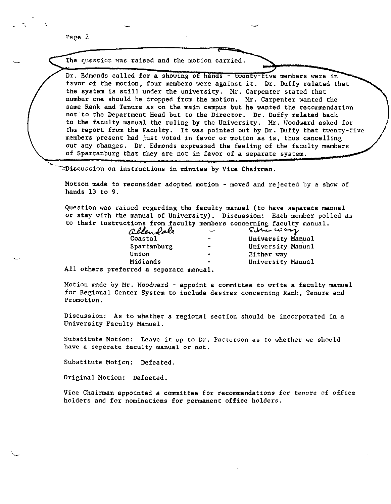Page 2

.....

-.

The question was raised and the motion carried.

Dr. Edmonds called for a showing of hands - twenty-five members were in favor of the motion, four members were against it. Dr. Duffy related that the system is still under the university. Mr. Carpenter stated that number one should be dropped from the motion. Mr. Carpenter wanted the same Rank and Tenure as on the main campus but he wanted the recommendation not to the Department Head but to the Director. Dr. Duffy related back to the faculty manual the ruling by the University. Mr. Woodward asked for the report from the Faculty. It was pointed out by Dr. Duffy that twenty-five members present had just voted in favor or motion as is, thus cancelling out any changes. Dr. Edmonds expressed the feeling of the faculty members of Spartanburg that they are not in favor of **a** separate system .

 $\simeq$ Discussion on instructions in minutes by Vice Chairman.

Motion made to reconsider adopted motion - moved and rejected by a show of hands 13 to 9.

Question was raised regarding the faculty manual (to have separate manual or stay with the manual of University). Discussion: Each member polled as

|  |                                                                             |                          | to their instructions from faculty members concerning faculty manual. |
|--|-----------------------------------------------------------------------------|--------------------------|-----------------------------------------------------------------------|
|  | allendale                                                                   |                          | Cother war                                                            |
|  | Coastal                                                                     | $\blacksquare$           | University Manual                                                     |
|  | Spartanburg                                                                 | $\overline{\phantom{a}}$ | University Manual                                                     |
|  | Union                                                                       | $\bullet$                | Either way                                                            |
|  | Midlands                                                                    | ۰                        | University Manual                                                     |
|  | $\mathbf{11}$ attends confidence $\mathbf{3}$ is considered as $\mathbf{3}$ |                          |                                                                       |

All others preferred a separate manual.

Motion made by Mr. Woodward - appoint a committee to write a faculty mamual for Regional Center System to include desires concerning Rank, Tenure and Promotion.

Discussion: As to whether a regional section should be incorporated in a University Faculty Manual.

Substitute Motion: Leave it up to Dr. Patterson as to whether we should **have a separate faculty manual or not.** 

Substitute Motion: Defeated.

Original Motion: Defeated.

Vice Chairman appointed a committee for recommendations for tenure of office holders and for nominations for permanent office holders.